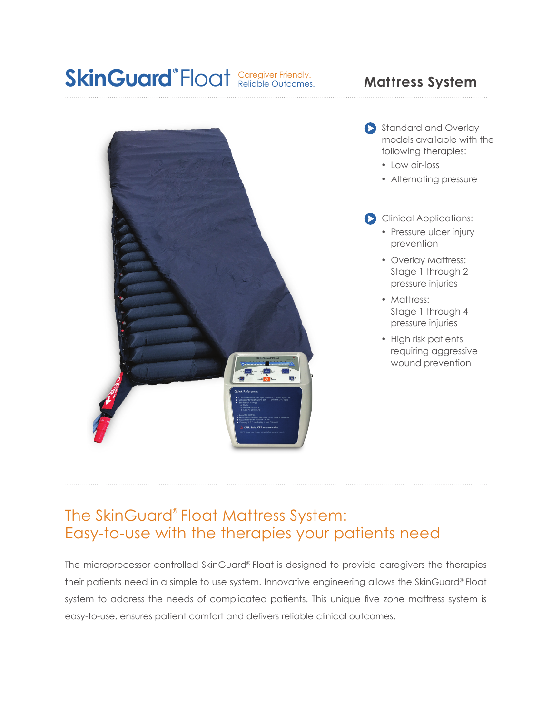## Caregiver Friendly. SkinGuard®Float **Caregiver Friendly.** Mattress System





- Low air-loss
- Alternating pressure
- Clinical Applications:
	- Pressure ulcer injury prevention
	- Overlay Mattress: Stage 1 through 2 pressure injuries
	- Mattress: Stage 1 through 4 pressure injuries
	- High risk patients requiring aggressive wound prevention

## The SkinGuard® Float Mattress System: Easy-to-use with the therapies your patients need

The microprocessor controlled SkinGuard® Float is designed to provide caregivers the therapies their patients need in a simple to use system. Innovative engineering allows the SkinGuard® Float system to address the needs of complicated patients. This unique five zone mattress system is easy-to-use, ensures patient comfort and delivers reliable clinical outcomes.